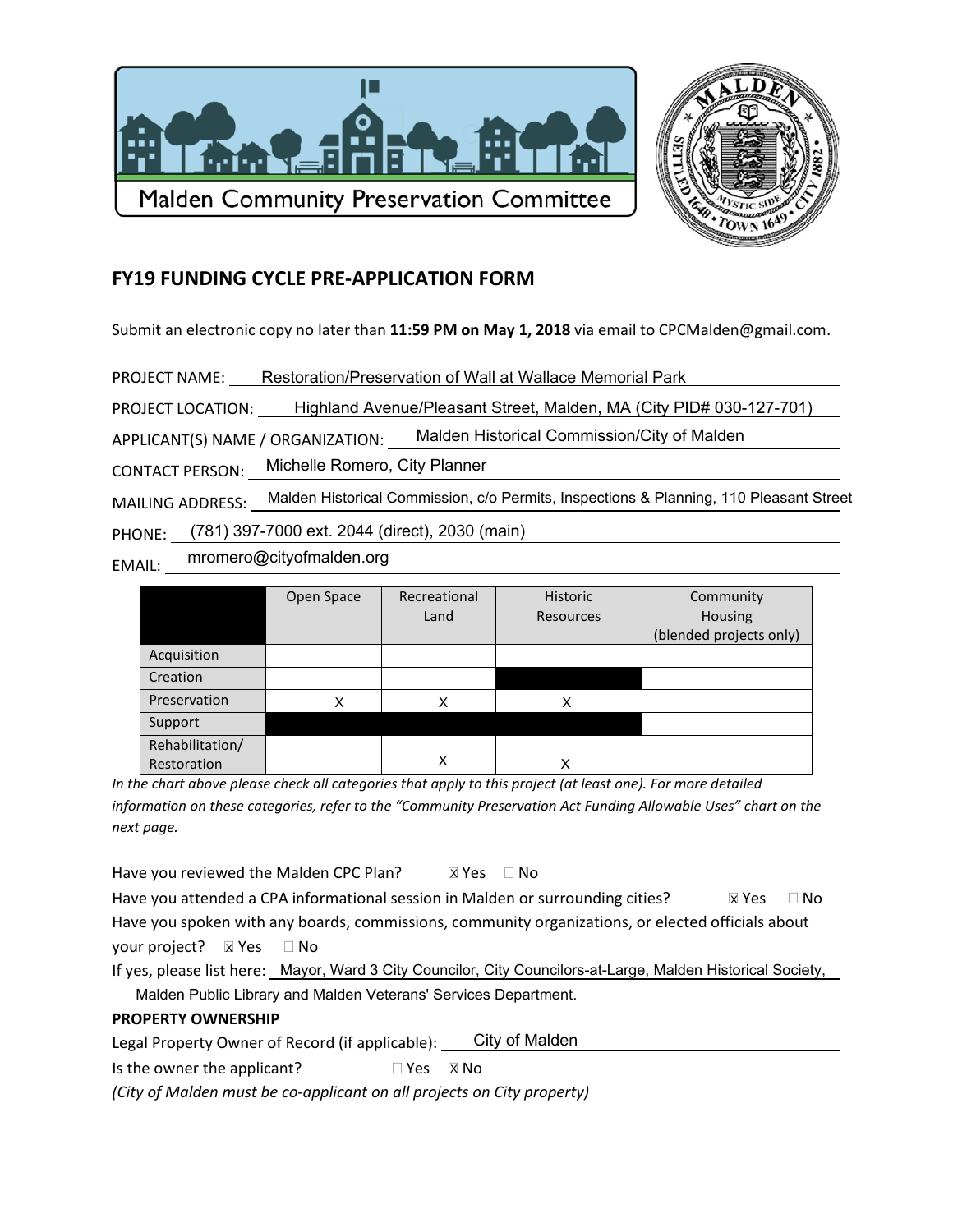



## **FY19 FUNDING CYCLE PRE-APPLICATION FORM**

Submit an electronic copy no later than 11:59 PM on May 1, 2018 via email to CPCMalden@gmail.com.

PROJECT NAME: Restoration/Preservation of Wall at Wallace Memorial Park

PROJECT LOCATION: Highland Avenue/Pleasant Street, Malden, MA (City PID# 030-127-701)

APPLICANT(S) NAME / ORGANIZATION: Malden Historical Commission/City of Malden

Michelle Romero, City Planner **CONTACT PERSON:** 

MAILING ADDRESS: Malden Historical Commission, c/o Permits, Inspections & Planning, 110 Pleasant Street

PHONE: (781) 397-7000 ext. 2044 (direct), 2030 (main)

mromero@cityofmalden.org EMAIL:

|                 | Open Space | Recreational | <b>Historic</b> | Community               |
|-----------------|------------|--------------|-----------------|-------------------------|
|                 |            |              |                 |                         |
|                 |            | Land         | Resources       | Housing                 |
|                 |            |              |                 | (blended projects only) |
| Acquisition     |            |              |                 |                         |
| Creation        |            |              |                 |                         |
| Preservation    | Χ          | Χ            | x               |                         |
| Support         |            |              |                 |                         |
| Rehabilitation/ |            |              |                 |                         |
| Restoration     |            | x            |                 |                         |

In the chart above please check all categories that apply to this project (at least one). For more detailed information on these categories, refer to the "Community Preservation Act Funding Allowable Uses" chart on the next page.

Have you reviewed the Malden CPC Plan?  $X Yes \square No$ 

Have you attended a CPA informational session in Malden or surrounding cities?  $\boxtimes$  Yes  $\Box$  No Have you spoken with any boards, commissions, community organizations, or elected officials about your project? **X** Yes  $\Box$  No

If yes, please list here: Mayor, Ward 3 City Councilor, City Councilors-at-Large, Malden Historical Society,

Malden Public Library and Malden Veterans' Services Department.

## **PROPERTY OWNERSHIP**

City of Malden Legal Property Owner of Record (if applicable):

Is the owner the applicant?  $\Box$  Yes  $\Box$  No

(City of Malden must be co-applicant on all projects on City property)